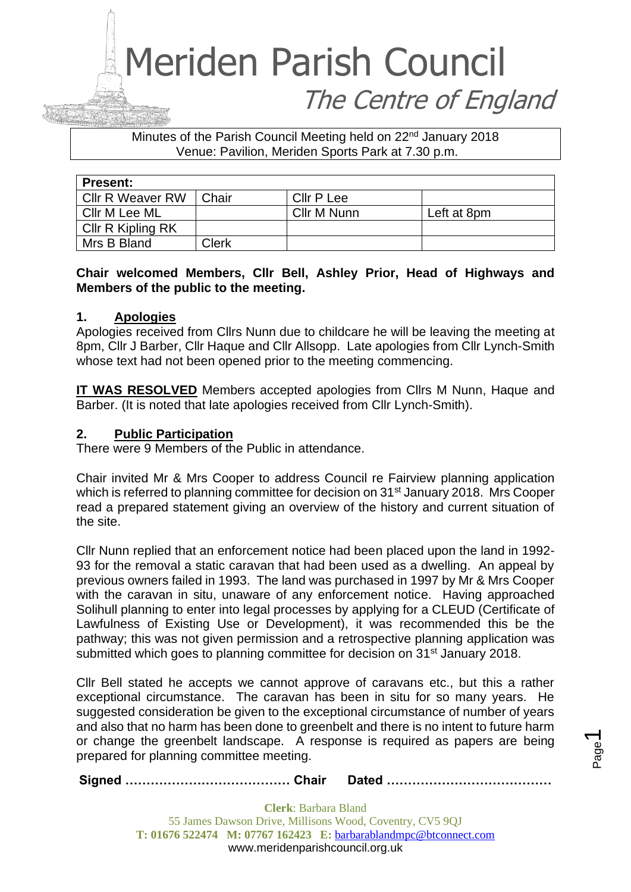Minutes of the Parish Council Meeting held on 22<sup>nd</sup> January 2018 Venue: Pavilion, Meriden Sports Park at 7.30 p.m.

| <b>Present:</b>         |       |             |             |
|-------------------------|-------|-------------|-------------|
| <b>Cllr R Weaver RW</b> | Chair | Cllr P Lee  |             |
| Cllr M Lee ML           |       | Cllr M Nunn | Left at 8pm |
| Cllr R Kipling RK       |       |             |             |
| Mrs B Bland             | Clerk |             |             |

### **Chair welcomed Members, Cllr Bell, Ashley Prior, Head of Highways and Members of the public to the meeting.**

#### **1. Apologies**

Apologies received from Cllrs Nunn due to childcare he will be leaving the meeting at 8pm, Cllr J Barber, Cllr Haque and Cllr Allsopp. Late apologies from Cllr Lynch-Smith whose text had not been opened prior to the meeting commencing.

**IT WAS RESOLVED** Members accepted apologies from Cllrs M Nunn, Haque and Barber. (It is noted that late apologies received from Cllr Lynch-Smith).

#### **2. Public Participation**

There were 9 Members of the Public in attendance.

Chair invited Mr & Mrs Cooper to address Council re Fairview planning application which is referred to planning committee for decision on 31<sup>st</sup> January 2018. Mrs Cooper read a prepared statement giving an overview of the history and current situation of the site.

Cllr Nunn replied that an enforcement notice had been placed upon the land in 1992- 93 for the removal a static caravan that had been used as a dwelling. An appeal by previous owners failed in 1993. The land was purchased in 1997 by Mr & Mrs Cooper with the caravan in situ, unaware of any enforcement notice. Having approached Solihull planning to enter into legal processes by applying for a CLEUD (Certificate of Lawfulness of Existing Use or Development), it was recommended this be the pathway; this was not given permission and a retrospective planning application was submitted which goes to planning committee for decision on 31<sup>st</sup> January 2018.

Cllr Bell stated he accepts we cannot approve of caravans etc., but this a rather exceptional circumstance. The caravan has been in situ for so many years. He suggested consideration be given to the exceptional circumstance of number of years and also that no harm has been done to greenbelt and there is no intent to future harm or change the greenbelt landscape. A response is required as papers are being prepared for planning committee meeting.

**Signed ………………………………… Chair Dated …………………………………**

**Clerk**: Barbara Bland 55 James Dawson Drive, Millisons Wood, Coventry, CV5 9QJ **T: 01676 522474 M: 07767 162423 E:** [barbarablandmpc@btconnect.com](mailto:barbarablandmpc@btconnect.com) www.meridenparishcouncil.org.uk

Page  $\overline{\phantom{0}}$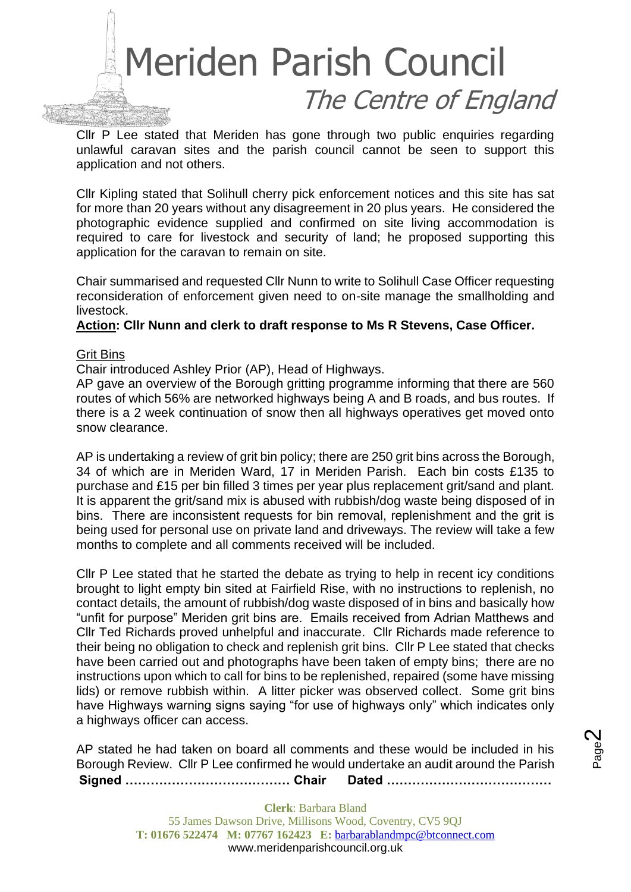

Cllr P Lee stated that Meriden has gone through two public enquiries regarding unlawful caravan sites and the parish council cannot be seen to support this application and not others.

Cllr Kipling stated that Solihull cherry pick enforcement notices and this site has sat for more than 20 years without any disagreement in 20 plus years. He considered the photographic evidence supplied and confirmed on site living accommodation is required to care for livestock and security of land; he proposed supporting this application for the caravan to remain on site.

Chair summarised and requested Cllr Nunn to write to Solihull Case Officer requesting reconsideration of enforcement given need to on-site manage the smallholding and livestock.

#### **Action: Cllr Nunn and clerk to draft response to Ms R Stevens, Case Officer.**

#### Grit Bins

Chair introduced Ashley Prior (AP), Head of Highways.

AP gave an overview of the Borough gritting programme informing that there are 560 routes of which 56% are networked highways being A and B roads, and bus routes. If there is a 2 week continuation of snow then all highways operatives get moved onto snow clearance.

AP is undertaking a review of grit bin policy; there are 250 grit bins across the Borough, 34 of which are in Meriden Ward, 17 in Meriden Parish. Each bin costs £135 to purchase and £15 per bin filled 3 times per year plus replacement grit/sand and plant. It is apparent the grit/sand mix is abused with rubbish/dog waste being disposed of in bins. There are inconsistent requests for bin removal, replenishment and the grit is being used for personal use on private land and driveways. The review will take a few months to complete and all comments received will be included.

Cllr P Lee stated that he started the debate as trying to help in recent icy conditions brought to light empty bin sited at Fairfield Rise, with no instructions to replenish, no contact details, the amount of rubbish/dog waste disposed of in bins and basically how "unfit for purpose" Meriden grit bins are. Emails received from Adrian Matthews and Cllr Ted Richards proved unhelpful and inaccurate. Cllr Richards made reference to their being no obligation to check and replenish grit bins. Cllr P Lee stated that checks have been carried out and photographs have been taken of empty bins; there are no instructions upon which to call for bins to be replenished, repaired (some have missing lids) or remove rubbish within. A litter picker was observed collect. Some grit bins have Highways warning signs saying "for use of highways only" which indicates only a highways officer can access.

**Signed ………………………………… Chair Dated …………………………………** AP stated he had taken on board all comments and these would be included in his Borough Review. Cllr P Lee confirmed he would undertake an audit around the Parish

Page  $\boldsymbol{\sim}$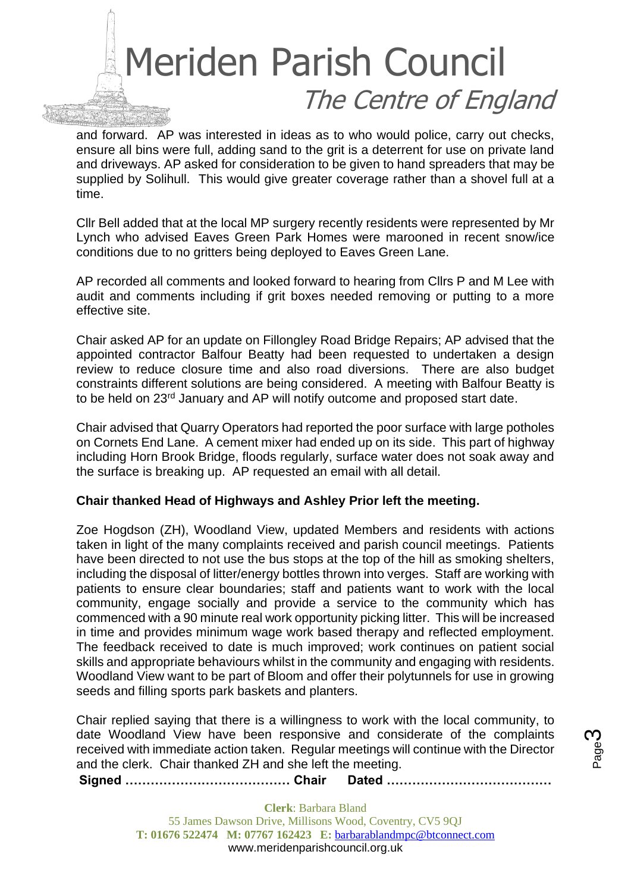

and forward. AP was interested in ideas as to who would police, carry out checks, ensure all bins were full, adding sand to the grit is a deterrent for use on private land and driveways. AP asked for consideration to be given to hand spreaders that may be supplied by Solihull. This would give greater coverage rather than a shovel full at a time.

Cllr Bell added that at the local MP surgery recently residents were represented by Mr Lynch who advised Eaves Green Park Homes were marooned in recent snow/ice conditions due to no gritters being deployed to Eaves Green Lane.

AP recorded all comments and looked forward to hearing from Cllrs P and M Lee with audit and comments including if grit boxes needed removing or putting to a more effective site.

Chair asked AP for an update on Fillongley Road Bridge Repairs; AP advised that the appointed contractor Balfour Beatty had been requested to undertaken a design review to reduce closure time and also road diversions. There are also budget constraints different solutions are being considered. A meeting with Balfour Beatty is to be held on 23<sup>rd</sup> January and AP will notify outcome and proposed start date.

Chair advised that Quarry Operators had reported the poor surface with large potholes on Cornets End Lane. A cement mixer had ended up on its side. This part of highway including Horn Brook Bridge, floods regularly, surface water does not soak away and the surface is breaking up. AP requested an email with all detail.

#### **Chair thanked Head of Highways and Ashley Prior left the meeting.**

Zoe Hogdson (ZH), Woodland View, updated Members and residents with actions taken in light of the many complaints received and parish council meetings. Patients have been directed to not use the bus stops at the top of the hill as smoking shelters, including the disposal of litter/energy bottles thrown into verges. Staff are working with patients to ensure clear boundaries; staff and patients want to work with the local community, engage socially and provide a service to the community which has commenced with a 90 minute real work opportunity picking litter. This will be increased in time and provides minimum wage work based therapy and reflected employment. The feedback received to date is much improved; work continues on patient social skills and appropriate behaviours whilst in the community and engaging with residents. Woodland View want to be part of Bloom and offer their polytunnels for use in growing seeds and filling sports park baskets and planters.

Chair replied saying that there is a willingness to work with the local community, to date Woodland View have been responsive and considerate of the complaints received with immediate action taken. Regular meetings will continue with the Director and the clerk. Chair thanked ZH and she left the meeting.

**Signed ………………………………… Chair Dated …………………………………**

**Clerk**: Barbara Bland 55 James Dawson Drive, Millisons Wood, Coventry, CV5 9QJ **T: 01676 522474 M: 07767 162423 E:** [barbarablandmpc@btconnect.com](mailto:barbarablandmpc@btconnect.com) www.meridenparishcouncil.org.uk

Page ო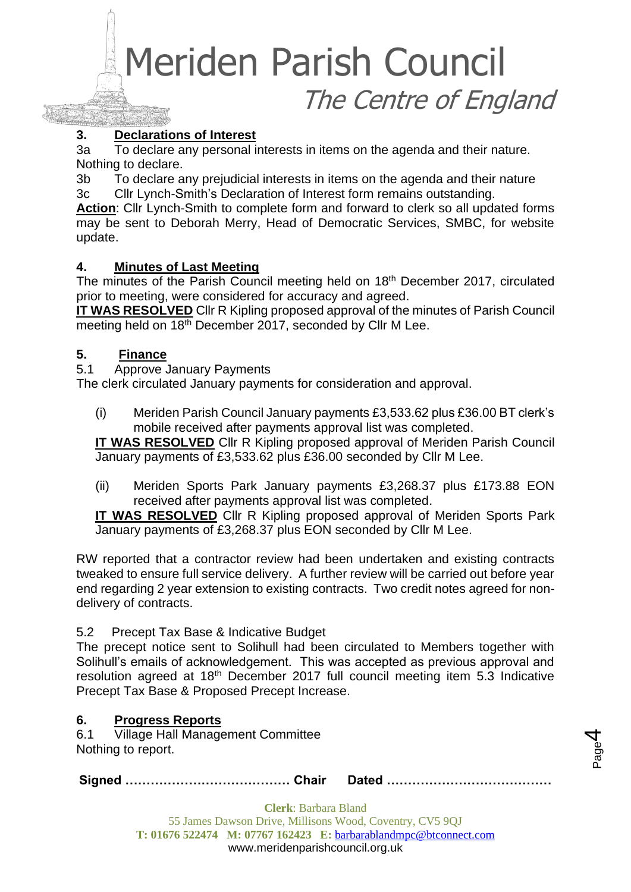# **3. Declarations of Interest**

3a To declare any personal interests in items on the agenda and their nature. Nothing to declare.

3b To declare any prejudicial interests in items on the agenda and their nature 3c Cllr Lynch-Smith's Declaration of Interest form remains outstanding.

**Action**: Cllr Lynch-Smith to complete form and forward to clerk so all updated forms may be sent to Deborah Merry, Head of Democratic Services, SMBC, for website update.

# **4. Minutes of Last Meeting**

The minutes of the Parish Council meeting held on 18<sup>th</sup> December 2017, circulated prior to meeting, were considered for accuracy and agreed.

**IT WAS RESOLVED** Cllr R Kipling proposed approval of the minutes of Parish Council meeting held on 18<sup>th</sup> December 2017, seconded by Cllr M Lee.

#### **5. Finance**

5.1 Approve January Payments

The clerk circulated January payments for consideration and approval.

(i) Meriden Parish Council January payments £3,533.62 plus £36.00 BT clerk's mobile received after payments approval list was completed.

**IT WAS RESOLVED** Cllr R Kipling proposed approval of Meriden Parish Council January payments of £3,533.62 plus £36.00 seconded by Cllr M Lee.

(ii) Meriden Sports Park January payments £3,268.37 plus £173.88 EON received after payments approval list was completed.

**IT WAS RESOLVED** Cllr R Kipling proposed approval of Meriden Sports Park January payments of £3,268.37 plus EON seconded by Cllr M Lee.

RW reported that a contractor review had been undertaken and existing contracts tweaked to ensure full service delivery. A further review will be carried out before year end regarding 2 year extension to existing contracts. Two credit notes agreed for nondelivery of contracts.

#### 5.2 Precept Tax Base & Indicative Budget

The precept notice sent to Solihull had been circulated to Members together with Solihull's emails of acknowledgement. This was accepted as previous approval and resolution agreed at 18<sup>th</sup> December 2017 full council meeting item 5.3 Indicative Precept Tax Base & Proposed Precept Increase.

# **6. Progress Reports**

6.1 Village Hall Management Committee Nothing to report.

**Signed ………………………………… Chair Dated …………………………………**

Page 4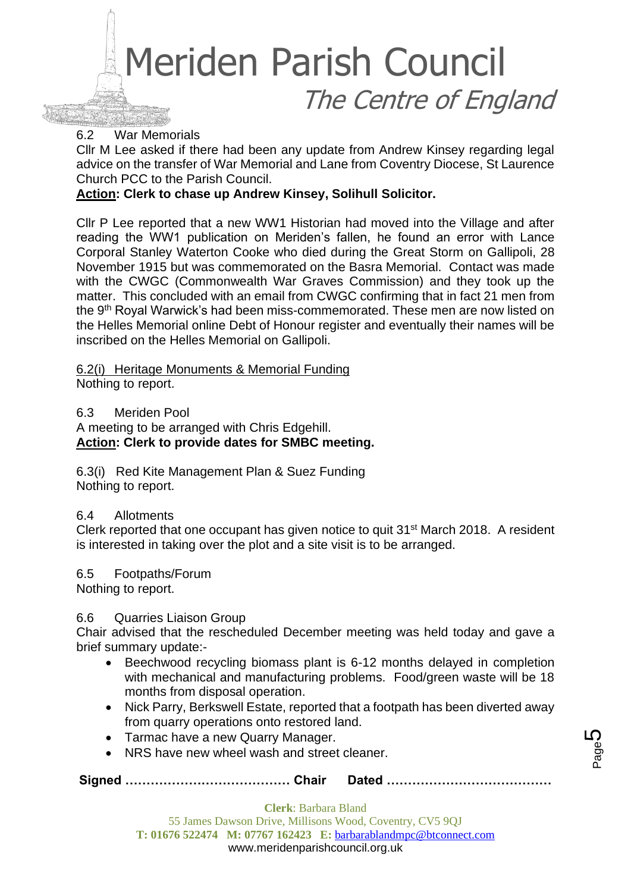

#### 6.2 War Memorials

Cllr M Lee asked if there had been any update from Andrew Kinsey regarding legal advice on the transfer of War Memorial and Lane from Coventry Diocese, St Laurence Church PCC to the Parish Council.

#### **Action: Clerk to chase up Andrew Kinsey, Solihull Solicitor.**

Cllr P Lee reported that a new WW1 Historian had moved into the Village and after reading the WW1 publication on Meriden's fallen, he found an error with Lance Corporal Stanley Waterton Cooke who died during the Great Storm on Gallipoli, 28 November 1915 but was commemorated on the Basra Memorial. Contact was made with the CWGC (Commonwealth War Graves Commission) and they took up the matter. This concluded with an email from CWGC confirming that in fact 21 men from the 9th Royal Warwick's had been miss-commemorated. These men are now listed on the Helles Memorial online Debt of Honour register and eventually their names will be inscribed on the Helles Memorial on Gallipoli.

6.2(i) Heritage Monuments & Memorial Funding

Nothing to report.

#### 6.3 Meriden Pool

A meeting to be arranged with Chris Edgehill. **Action: Clerk to provide dates for SMBC meeting.**

6.3(i) Red Kite Management Plan & Suez Funding Nothing to report.

#### 6.4 Allotments

Clerk reported that one occupant has given notice to quit 31st March 2018. A resident is interested in taking over the plot and a site visit is to be arranged.

#### 6.5 Footpaths/Forum

Nothing to report.

#### 6.6 Quarries Liaison Group

Chair advised that the rescheduled December meeting was held today and gave a brief summary update:-

- Beechwood recycling biomass plant is 6-12 months delayed in completion with mechanical and manufacturing problems. Food/green waste will be 18 months from disposal operation.
- Nick Parry, Berkswell Estate, reported that a footpath has been diverted away from quarry operations onto restored land.
- Tarmac have a new Quarry Manager.
- NRS have new wheel wash and street cleaner.

**Signed ………………………………… Chair Dated …………………………………**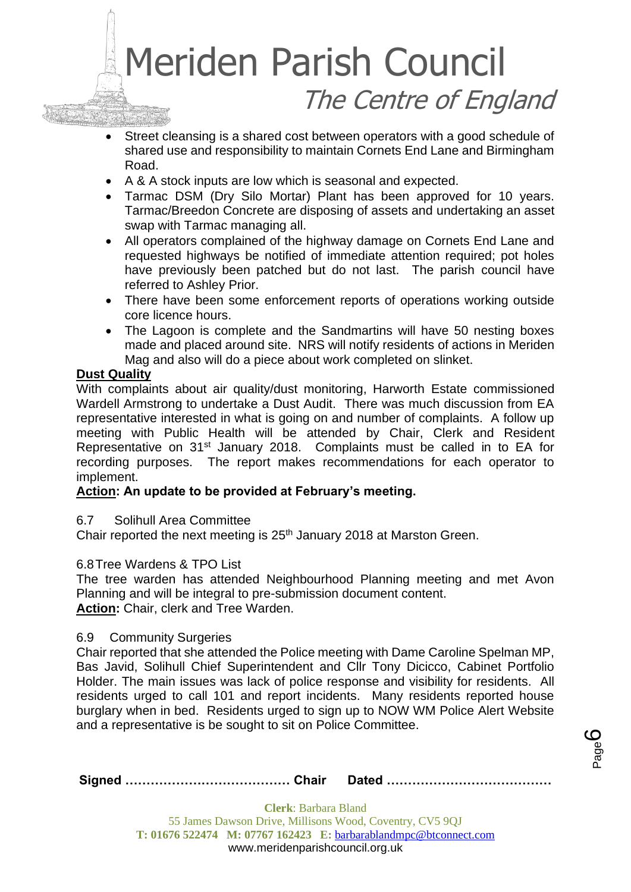- Street cleansing is a shared cost between operators with a good schedule of shared use and responsibility to maintain Cornets End Lane and Birmingham Road.
- A & A stock inputs are low which is seasonal and expected.
- Tarmac DSM (Dry Silo Mortar) Plant has been approved for 10 years. Tarmac/Breedon Concrete are disposing of assets and undertaking an asset swap with Tarmac managing all.
- All operators complained of the highway damage on Cornets End Lane and requested highways be notified of immediate attention required; pot holes have previously been patched but do not last. The parish council have referred to Ashley Prior.
- There have been some enforcement reports of operations working outside core licence hours.
- The Lagoon is complete and the Sandmartins will have 50 nesting boxes made and placed around site. NRS will notify residents of actions in Meriden Mag and also will do a piece about work completed on slinket.

# **Dust Quality**

With complaints about air quality/dust monitoring, Harworth Estate commissioned Wardell Armstrong to undertake a Dust Audit. There was much discussion from EA representative interested in what is going on and number of complaints. A follow up meeting with Public Health will be attended by Chair, Clerk and Resident Representative on 31<sup>st</sup> January 2018. Complaints must be called in to EA for recording purposes. The report makes recommendations for each operator to implement.

# **Action: An update to be provided at February's meeting.**

6.7 Solihull Area Committee

Chair reported the next meeting is 25<sup>th</sup> January 2018 at Marston Green.

# 6.8Tree Wardens & TPO List

The tree warden has attended Neighbourhood Planning meeting and met Avon Planning and will be integral to pre-submission document content. **Action:** Chair, clerk and Tree Warden.

#### 6.9 Community Surgeries

Chair reported that she attended the Police meeting with Dame Caroline Spelman MP, Bas Javid, Solihull Chief Superintendent and Cllr Tony Dicicco, Cabinet Portfolio Holder. The main issues was lack of police response and visibility for residents. All residents urged to call 101 and report incidents. Many residents reported house burglary when in bed. Residents urged to sign up to NOW WM Police Alert Website and a representative is be sought to sit on Police Committee.

|--|--|

Page ပ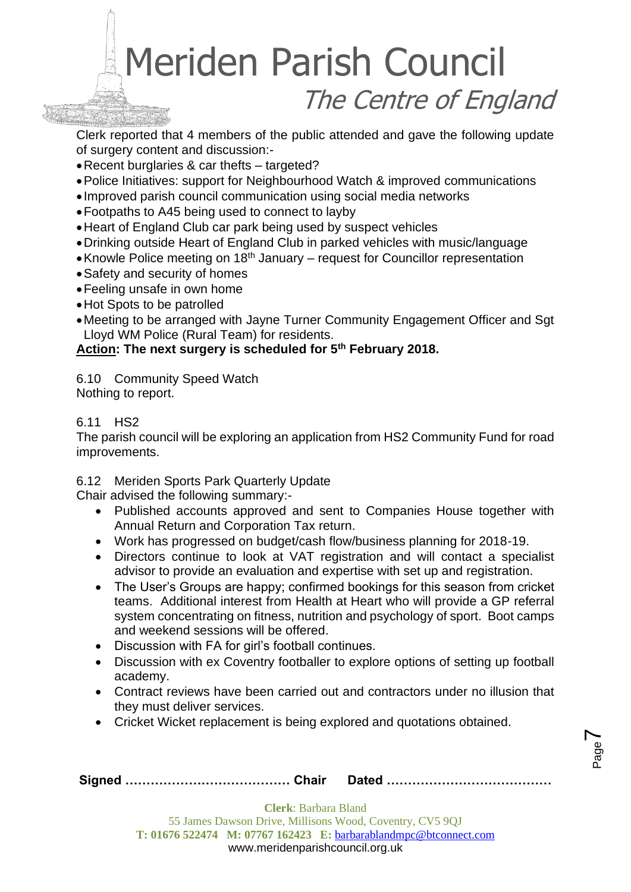Clerk reported that 4 members of the public attended and gave the following update of surgery content and discussion:-

- •Recent burglaries & car thefts targeted?
- •Police Initiatives: support for Neighbourhood Watch & improved communications
- Improved parish council communication using social media networks
- •Footpaths to A45 being used to connect to layby
- •Heart of England Club car park being used by suspect vehicles
- •Drinking outside Heart of England Club in parked vehicles with music/language
- Knowle Police meeting on 18<sup>th</sup> January request for Councillor representation
- •Safety and security of homes
- •Feeling unsafe in own home
- •Hot Spots to be patrolled
- •Meeting to be arranged with Jayne Turner Community Engagement Officer and Sgt Lloyd WM Police (Rural Team) for residents.

**Action: The next surgery is scheduled for 5th February 2018.** 

6.10 Community Speed Watch Nothing to report.

# 6.11 HS2

The parish council will be exploring an application from HS2 Community Fund for road improvements.

6.12 Meriden Sports Park Quarterly Update

Chair advised the following summary:-

- Published accounts approved and sent to Companies House together with Annual Return and Corporation Tax return.
- Work has progressed on budget/cash flow/business planning for 2018-19.
- Directors continue to look at VAT registration and will contact a specialist advisor to provide an evaluation and expertise with set up and registration.
- The User's Groups are happy; confirmed bookings for this season from cricket teams. Additional interest from Health at Heart who will provide a GP referral system concentrating on fitness, nutrition and psychology of sport. Boot camps and weekend sessions will be offered.
- Discussion with FA for girl's football continues.
- Discussion with ex Coventry footballer to explore options of setting up football academy.
- Contract reviews have been carried out and contractors under no illusion that they must deliver services.
- Cricket Wicket replacement is being explored and quotations obtained.

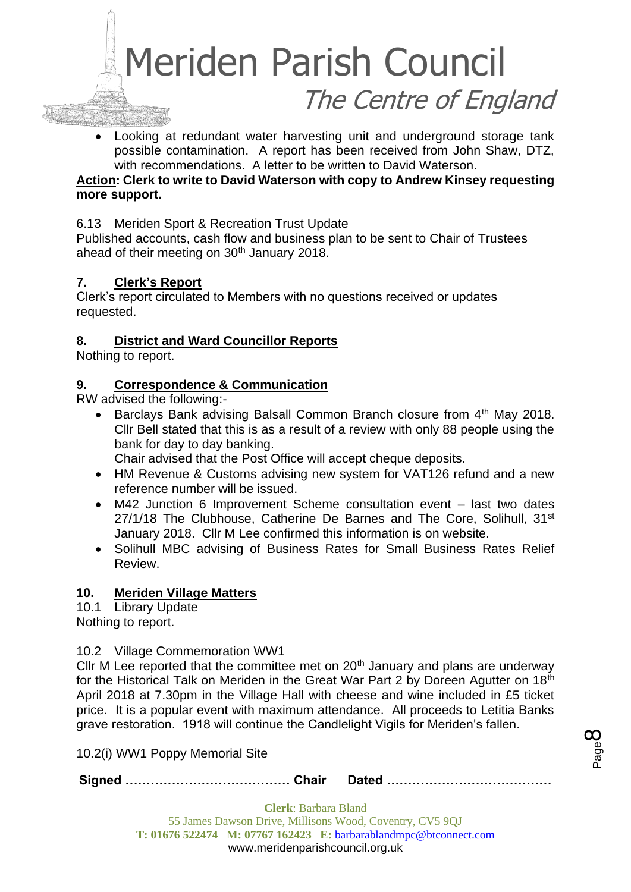

• Looking at redundant water harvesting unit and underground storage tank possible contamination. A report has been received from John Shaw, DTZ, with recommendations. A letter to be written to David Waterson.

### **Action: Clerk to write to David Waterson with copy to Andrew Kinsey requesting more support.**

#### 6.13 Meriden Sport & Recreation Trust Update

Published accounts, cash flow and business plan to be sent to Chair of Trustees ahead of their meeting on 30<sup>th</sup> January 2018.

# **7. Clerk's Report**

Clerk's report circulated to Members with no questions received or updates requested.

#### **8. District and Ward Councillor Reports**

Nothing to report.

#### **9. Correspondence & Communication**

RW advised the following:-

Barclays Bank advising Balsall Common Branch closure from 4<sup>th</sup> May 2018. Cllr Bell stated that this is as a result of a review with only 88 people using the bank for day to day banking.

Chair advised that the Post Office will accept cheque deposits.

- HM Revenue & Customs advising new system for VAT126 refund and a new reference number will be issued.
- M42 Junction 6 Improvement Scheme consultation event last two dates 27/1/18 The Clubhouse, Catherine De Barnes and The Core, Solihull, 31<sup>st</sup> January 2018. Cllr M Lee confirmed this information is on website.
- Solihull MBC advising of Business Rates for Small Business Rates Relief Review.

#### **10. Meriden Village Matters**

10.1 Library Update Nothing to report.

#### 10.2 Village Commemoration WW1

Cllr M Lee reported that the committee met on  $20<sup>th</sup>$  January and plans are underway for the Historical Talk on Meriden in the Great War Part 2 by Doreen Agutter on 18th April 2018 at 7.30pm in the Village Hall with cheese and wine included in £5 ticket price. It is a popular event with maximum attendance. All proceeds to Letitia Banks grave restoration. 1918 will continue the Candlelight Vigils for Meriden's fallen.

10.2(i) WW1 Poppy Memorial Site

**Signed ………………………………… Chair Dated …………………………………**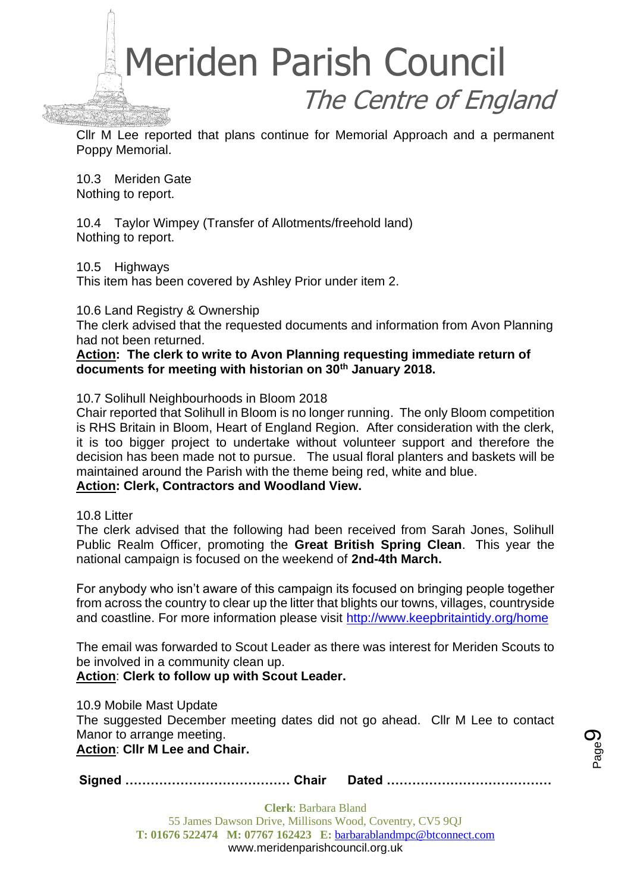

Cllr M Lee reported that plans continue for Memorial Approach and a permanent Poppy Memorial.

10.3 Meriden Gate Nothing to report.

10.4 Taylor Wimpey (Transfer of Allotments/freehold land) Nothing to report.

10.5 Highways

This item has been covered by Ashley Prior under item 2.

10.6 Land Registry & Ownership

The clerk advised that the requested documents and information from Avon Planning had not been returned.

**Action: The clerk to write to Avon Planning requesting immediate return of documents for meeting with historian on 30th January 2018.**

10.7 Solihull Neighbourhoods in Bloom 2018

Chair reported that Solihull in Bloom is no longer running. The only Bloom competition is RHS Britain in Bloom, Heart of England Region. After consideration with the clerk, it is too bigger project to undertake without volunteer support and therefore the decision has been made not to pursue. The usual floral planters and baskets will be maintained around the Parish with the theme being red, white and blue.

#### **Action: Clerk, Contractors and Woodland View.**

10.8 Litter

The clerk advised that the following had been received from Sarah Jones, Solihull Public Realm Officer, promoting the **Great British Spring Clean**. This year the national campaign is focused on the weekend of **2nd-4th March.**

For anybody who isn't aware of this campaign its focused on bringing people together from across the country to clear up the litter that blights our towns, villages, countryside and coastline. For more information please visit <http://www.keepbritaintidy.org/home>

The email was forwarded to Scout Leader as there was interest for Meriden Scouts to be involved in a community clean up.

**Action**: **Clerk to follow up with Scout Leader.**

10.9 Mobile Mast Update The suggested December meeting dates did not go ahead. Cllr M Lee to contact Manor to arrange meeting.

**Action**: **Cllr M Lee and Chair.**

**Signed ………………………………… Chair Dated …………………………………**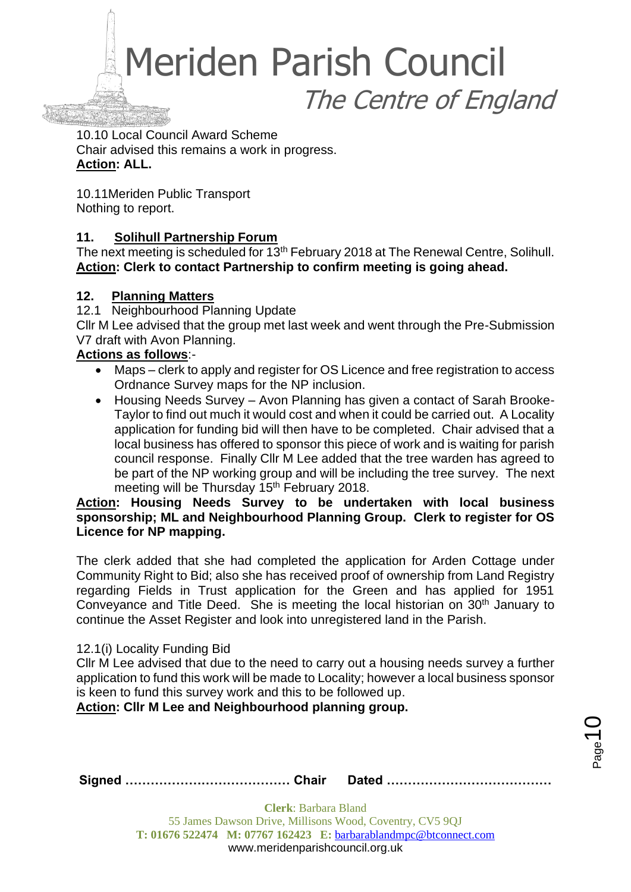10.10 Local Council Award Scheme Chair advised this remains a work in progress. **Action: ALL.**

10.11Meriden Public Transport Nothing to report.

# **11. Solihull Partnership Forum**

The next meeting is scheduled for 13<sup>th</sup> February 2018 at The Renewal Centre, Solihull. **Action: Clerk to contact Partnership to confirm meeting is going ahead.**

# **12. Planning Matters**

12.1 Neighbourhood Planning Update

Cllr M Lee advised that the group met last week and went through the Pre-Submission V7 draft with Avon Planning.

# **Actions as follows**:-

- Maps clerk to apply and register for OS Licence and free registration to access Ordnance Survey maps for the NP inclusion.
- Housing Needs Survey Avon Planning has given a contact of Sarah Brooke-Taylor to find out much it would cost and when it could be carried out. A Locality application for funding bid will then have to be completed. Chair advised that a local business has offered to sponsor this piece of work and is waiting for parish council response. Finally Cllr M Lee added that the tree warden has agreed to be part of the NP working group and will be including the tree survey. The next meeting will be Thursday 15<sup>th</sup> February 2018.

### **Action: Housing Needs Survey to be undertaken with local business sponsorship; ML and Neighbourhood Planning Group. Clerk to register for OS Licence for NP mapping.**

The clerk added that she had completed the application for Arden Cottage under Community Right to Bid; also she has received proof of ownership from Land Registry regarding Fields in Trust application for the Green and has applied for 1951 Conveyance and Title Deed. She is meeting the local historian on 30<sup>th</sup> January to continue the Asset Register and look into unregistered land in the Parish.

# 12.1(i) Locality Funding Bid

Cllr M Lee advised that due to the need to carry out a housing needs survey a further application to fund this work will be made to Locality; however a local business sponsor is keen to fund this survey work and this to be followed up.

**Action: Cllr M Lee and Neighbourhood planning group.**

 $_{\mathrm{Page}}$ 10

**Signed ………………………………… Chair Dated …………………………………**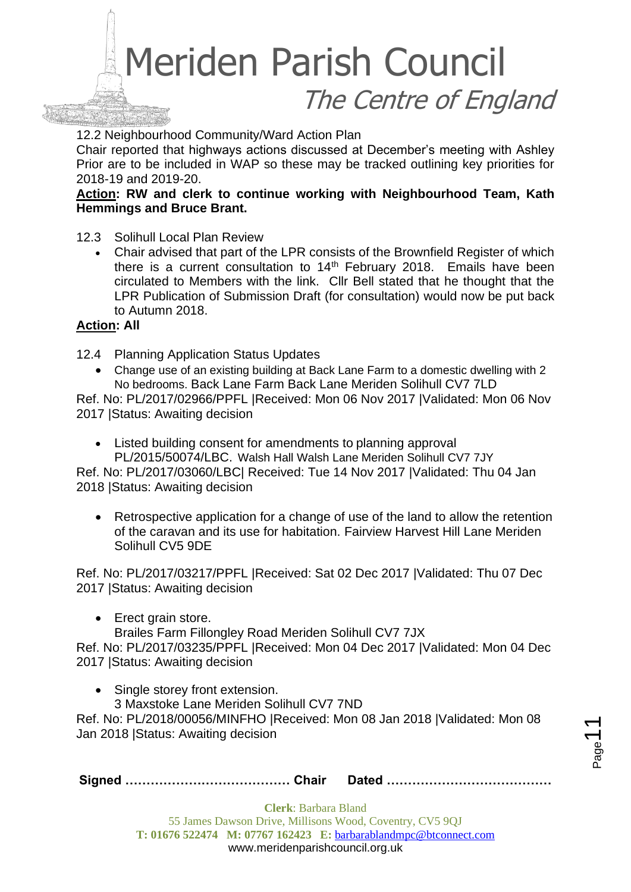12.2 Neighbourhood Community/Ward Action Plan

Chair reported that highways actions discussed at December's meeting with Ashley Prior are to be included in WAP so these may be tracked outlining key priorities for 2018-19 and 2019-20.

**Action: RW and clerk to continue working with Neighbourhood Team, Kath Hemmings and Bruce Brant.**

12.3 Solihull Local Plan Review

• Chair advised that part of the LPR consists of the Brownfield Register of which there is a current consultation to  $14<sup>th</sup>$  February 2018. Emails have been circulated to Members with the link. Cllr Bell stated that he thought that the LPR Publication of Submission Draft (for consultation) would now be put back to Autumn 2018.

# **Action: All**

12.4 Planning Application Status Updates

• Change use of an existing building at Back Lane Farm to a domestic dwelling with 2 No bedrooms. Back Lane Farm Back Lane Meriden Solihull CV7 7LD

Ref. No: PL/2017/02966/PPFL |Received: Mon 06 Nov 2017 |Validated: Mon 06 Nov 2017 |Status: Awaiting decision

• Listed building consent for amendments to planning approval PL/2015/50074/LBC. Walsh Hall Walsh Lane Meriden Solihull CV7 7JY

Ref. No: PL/2017/03060/LBC| Received: Tue 14 Nov 2017 |Validated: Thu 04 Jan 2018 |Status: Awaiting decision

• Retrospective application for a change of use of the land to allow the retention of the caravan and its use for habitation. Fairview Harvest Hill Lane Meriden Solihull CV5 9DE

Ref. No: PL/2017/03217/PPFL |Received: Sat 02 Dec 2017 |Validated: Thu 07 Dec 2017 |Status: Awaiting decision

- Erect grain store.
	- Brailes Farm Fillongley Road Meriden Solihull CV7 7JX

Ref. No: PL/2017/03235/PPFL |Received: Mon 04 Dec 2017 |Validated: Mon 04 Dec 2017 |Status: Awaiting decision

Single storey front extension.

3 Maxstoke Lane Meriden Solihull CV7 7ND

Ref. No: PL/2018/00056/MINFHO |Received: Mon 08 Jan 2018 |Validated: Mon 08 Jan 2018 |Status: Awaiting decision

**Signed ………………………………… Chair Dated …………………………………**